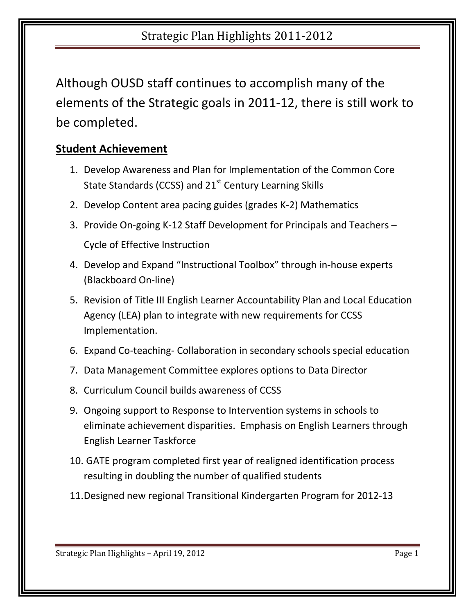## Strategic Plan Highlights 2011-2012

Although OUSD staff continues to accomplish many of the elements of the Strategic goals in 2011-12, there is still work to be completed.

#### **Student Achievement**

- 1. Develop Awareness and Plan for Implementation of the Common Core State Standards (CCSS) and  $21<sup>st</sup>$  Century Learning Skills
- 2. Develop Content area pacing guides (grades K-2) Mathematics
- 3. Provide On-going K-12 Staff Development for Principals and Teachers –

Cycle of Effective Instruction

- 4. Develop and Expand "Instructional Toolbox" through in-house experts (Blackboard On-line)
- 5. Revision of Title III English Learner Accountability Plan and Local Education Agency (LEA) plan to integrate with new requirements for CCSS Implementation.
- 6. Expand Co-teaching- Collaboration in secondary schools special education
- 7. Data Management Committee explores options to Data Director
- 8. Curriculum Council builds awareness of CCSS
- 9. Ongoing support to Response to Intervention systems in schools to eliminate achievement disparities. Emphasis on English Learners through English Learner Taskforce
- 10. GATE program completed first year of realigned identification process resulting in doubling the number of qualified students
- 11.Designed new regional Transitional Kindergarten Program for 2012-13

Strategic Plan Highlights – April 19, 2012 Page 1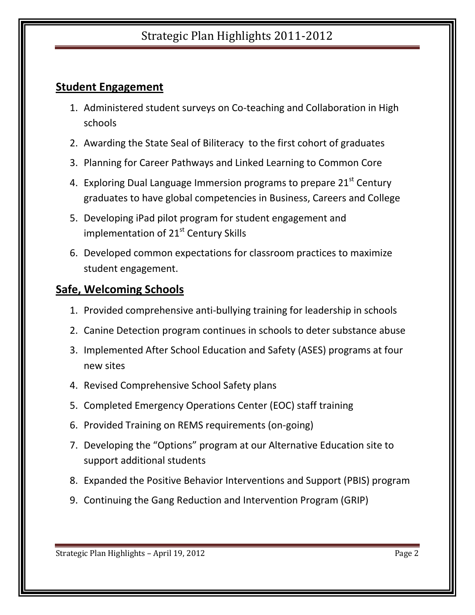## Strategic Plan Highlights 2011-2012

## **Student Engagement**

- 1. Administered student surveys on Co-teaching and Collaboration in High schools
- 2. Awarding the State Seal of Biliteracy to the first cohort of graduates
- 3. Planning for Career Pathways and Linked Learning to Common Core
- 4. Exploring Dual Language Immersion programs to prepare  $21^{st}$  Century graduates to have global competencies in Business, Careers and College
- 5. Developing iPad pilot program for student engagement and implementation of 21<sup>st</sup> Century Skills
- 6. Developed common expectations for classroom practices to maximize student engagement.

#### **Safe, Welcoming Schools**

- 1. Provided comprehensive anti-bullying training for leadership in schools
- 2. Canine Detection program continues in schools to deter substance abuse
- 3. Implemented After School Education and Safety (ASES) programs at four new sites
- 4. Revised Comprehensive School Safety plans
- 5. Completed Emergency Operations Center (EOC) staff training
- 6. Provided Training on REMS requirements (on-going)
- 7. Developing the "Options" program at our Alternative Education site to support additional students
- 8. Expanded the Positive Behavior Interventions and Support (PBIS) program
- 9. Continuing the Gang Reduction and Intervention Program (GRIP)